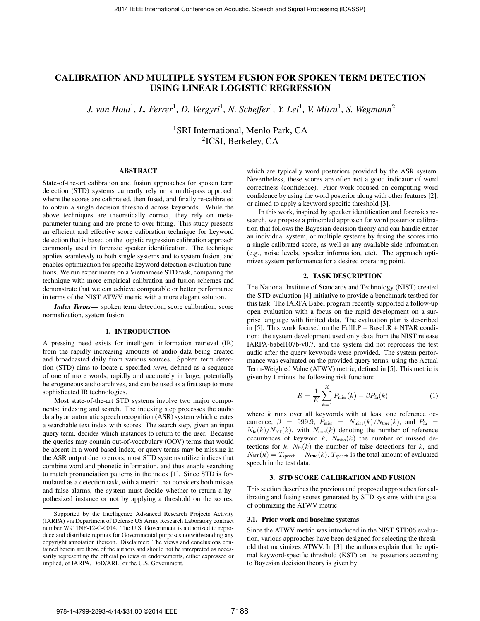# CALIBRATION AND MULTIPLE SYSTEM FUSION FOR SPOKEN TERM DETECTION USING LINEAR LOGISTIC REGRESSION

*J. van Hout<sup>1</sup>, L. Ferrer<sup>1</sup>, D. Vergyri<sup>1</sup>, N. Scheffer<sup>1</sup>, Y. Lei<sup>1</sup>, V. Mitra<sup>1</sup>, S. Wegmann<sup>2</sup>* 

<sup>1</sup>SRI International, Menlo Park, CA 2 ICSI, Berkeley, CA

### ABSTRACT

State-of-the-art calibration and fusion approaches for spoken term detection (STD) systems currently rely on a multi-pass approach where the scores are calibrated, then fused, and finally re-calibrated to obtain a single decision threshold across keywords. While the above techniques are theoretically correct, they rely on metaparameter tuning and are prone to over-fitting. This study presents an efficient and effective score calibration technique for keyword detection that is based on the logistic regression calibration approach commonly used in forensic speaker identification. The technique applies seamlessly to both single systems and to system fusion, and enables optimization for specific keyword detection evaluation functions. We run experiments on a Vietnamese STD task, comparing the technique with more empirical calibration and fusion schemes and demonstrate that we can achieve comparable or better performance in terms of the NIST ATWV metric with a more elegant solution.

*Index Terms*— spoken term detection, score calibration, score normalization, system fusion

### 1. INTRODUCTION

A pressing need exists for intelligent information retrieval (IR) from the rapidly increasing amounts of audio data being created and broadcasted daily from various sources. Spoken term detection (STD) aims to locate a specified *term*, defined as a sequence of one of more words, rapidly and accurately in large, potentially heterogeneous audio archives, and can be used as a first step to more sophisticated IR technologies.

Most state-of-the-art STD systems involve two major components: indexing and search. The indexing step processes the audio data by an automatic speech recognition (ASR) system which creates a searchable text index with scores. The search step, given an input query term, decides which instances to return to the user. Because the queries may contain out-of-vocabulary (OOV) terms that would be absent in a word-based index, or query terms may be missing in the ASR output due to errors, most STD systems utilize indices that combine word and phonetic information, and thus enable searching to match pronunciation patterns in the index [1]. Since STD is formulated as a detection task, with a metric that considers both misses and false alarms, the system must decide whether to return a hypothesized instance or not by applying a threshold on the scores,

which are typically word posteriors provided by the ASR system. Nevertheless, these scores are often not a good indicator of word correctness (confidence). Prior work focused on computing word confidence by using the word posterior along with other features [2], or aimed to apply a keyword specific threshold [3].

In this work, inspired by speaker identification and forensics research, we propose a principled approach for word posterior calibration that follows the Bayesian decision theory and can handle either an individual system, or multiple systems by fusing the scores into a single calibrated score, as well as any available side information (e.g., noise levels, speaker information, etc). The approach optimizes system performance for a desired operating point.

### 2. TASK DESCRIPTION

The National Institute of Standards and Technology (NIST) created the STD evaluation [4] initiative to provide a benchmark testbed for this task. The IARPA Babel program recently supported a follow-up open evaluation with a focus on the rapid development on a surprise language with limited data. The evaluation plan is described in [5]. This work focused on the FullLP + BaseLR + NTAR condition: the system development used only data from the NIST release IARPA-babel107b-v0.7, and the system did not reprocess the test audio after the query keywords were provided. The system performance was evaluated on the provided query terms, using the Actual Term-Weighted Value (ATWV) metric, defined in [5]. This metric is given by 1 minus the following risk function:

$$
R = \frac{1}{K} \sum_{k=1}^{K} P_{\text{miss}}(k) + \beta P_{\text{fa}}(k)
$$
 (1)

where  $k$  runs over all keywords with at least one reference occurrence,  $\beta$  = 999.9,  $P_{\text{miss}}$  =  $N_{\text{miss}}(k)/N_{\text{true}}(k)$ , and  $P_{\text{fa}}$  =  $N_{\text{fa}}(k)/N_{\text{NT}}(k)$ , with  $N_{\text{true}}(k)$  denoting the number of reference occurrences of keyword  $k$ ,  $N_{\text{miss}}(k)$  the number of missed detections for k,  $N_{fa}(k)$  the number of false detections for k, and  $N_{\text{NT}}(k) = T_{\text{speech}} - N_{\text{true}}(k)$ .  $T_{\text{speech}}$  is the total amount of evaluated speech in the test data.

# 3. STD SCORE CALIBRATION AND FUSION

This section describes the previous and proposed approaches for calibrating and fusing scores generated by STD systems with the goal of optimizing the ATWV metric.

#### 3.1. Prior work and baseline systems

Since the ATWV metric was introduced in the NIST STD06 evaluation, various approaches have been designed for selecting the threshold that maximizes ATWV. In [3], the authors explain that the optimal keyword-specific threshold (KST) on the posteriors according to Bayesian decision theory is given by

Supported by the Intelligence Advanced Research Projects Activity (IARPA) via Department of Defense US Army Research Laboratory contract number W911NF-12-C-0014. The U.S. Government is authorized to reproduce and distribute reprints for Governmental purposes notwithstanding any copyright annotation thereon. Disclaimer: The views and conclusions contained herein are those of the authors and should not be interpreted as necessarily representing the official policies or endorsements, either expressed or implied, of IARPA, DoD/ARL, or the U.S. Government.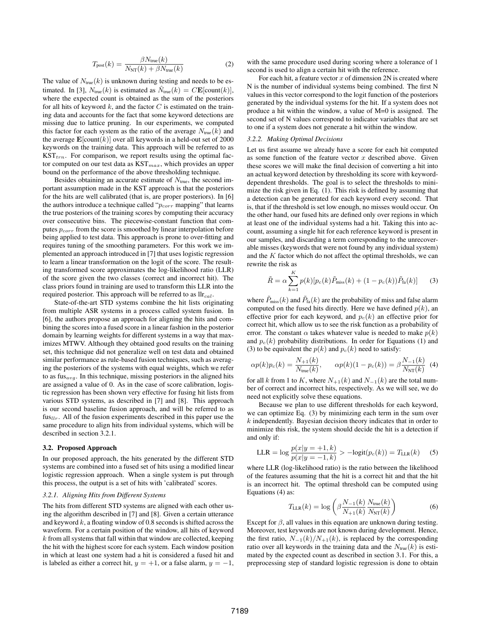$$
T_{\text{post}}(k) = \frac{\beta N_{\text{true}}(k)}{N_{\text{NT}}(k) + \beta N_{\text{true}}(k)}\tag{2}
$$

The value of  $N_{true}(k)$  is unknown during testing and needs to be estimated. In [3],  $N_{true}(k)$  is estimated as  $N_{true}(k) = C \mathbf{E}[\text{count}(k)]$ , where the expected count is obtained as the sum of the posteriors for all hits of keyword  $k$ , and the factor  $C$  is estimated on the training data and accounts for the fact that some keyword detections are missing due to lattice pruning. In our experiments, we computed this factor for each system as the ratio of the average  $N_{true}(k)$  and the average  $\mathbf{E}[\text{count}(k)]$  over all keywords in a held-out set of 2000 keywords on the training data. This approach will be referred to as  $KST<sub>trn</sub>$ . For comparison, we report results using the optimal factor computed on our test data as  $\text{KST}_{max}$ , which provides an upper bound on the performance of the above thresholding technique.

Besides obtaining an accurate estimate of  $N_{true}$ , the second important assumption made in the KST approach is that the posteriors for the hits are well calibrated (that is, are proper posteriors). In [6] the authors introduce a technique called " $p_{corr}$  mapping" that learns the true posteriors of the training scores by computing their accuracy over consecutive bins. The piecewise-constant function that computes  $p_{corr}$  from the score is smoothed by linear interpolation before being applied to test data. This approach is prone to over-fitting and requires tuning of the smoothing parameters. For this work we implemented an approach introduced in [7] that uses logistic regression to learn a linear transformation on the logit of the score. The resulting transformed score approximates the log-likelihood ratio (LLR) of the score given the two classes (correct and incorrect hit). The class priors found in training are used to transform this LLR into the required posterior. This approach will be referred to as  $\text{llr}_{cal}$ .

State-of-the-art STD systems combine the hit lists originating from multiple ASR systems in a process called system fusion. In [6], the authors propose an approach for aligning the hits and combining the scores into a fused score in a linear fashion in the posterior domain by learning weights for different systems in a way that maximizes MTWV. Although they obtained good results on the training set, this technique did not generalize well on test data and obtained similar performance as rule-based fusion techniques, such as averaging the posteriors of the systems with equal weights, which we refer to as fus<sub>avg</sub>. In this technique, missing posteriors in the aligned hits are assigned a value of 0. As in the case of score calibration, logistic regression has been shown very effective for fusing hit lists from various STD systems, as described in [7] and [8]. This approach is our second baseline fusion approach, and will be referred to as fus $_{llr}$ . All of the fusion experiments described in this paper use the same procedure to align hits from individual systems, which will be described in section 3.2.1.

### 3.2. Proposed Approach

In our proposed approach, the hits generated by the different STD systems are combined into a fused set of hits using a modified linear logistic regression approach. When a single system is put through this process, the output is a set of hits with 'calibrated' scores.

# *3.2.1. Aligning Hits from Different Systems*

The hits from different STD systems are aligned with each other using the algorithm described in [7] and [8]. Given a certain utterance and keyword  $k$ , a floating window of 0.8 seconds is shifted across the waveform. For a certain position of the window, all hits of keyword  $k$  from all systems that fall within that window are collected, keeping the hit with the highest score for each system. Each window position in which at least one system had a hit is considered a fused hit and is labeled as either a correct hit,  $y = +1$ , or a false alarm,  $y = -1$ ,

with the same procedure used during scoring where a tolerance of 1 second is used to align a certain hit with the reference.

For each hit, a feature vector  $x$  of dimension 2N is created where N is the number of individual systems being combined. The first N values in this vector correspond to the logit function of the posteriors generated by the individual systems for the hit. If a system does not produce a hit within the window, a value of M=0 is assigned. The second set of N values correspond to indicator variables that are set to one if a system does not generate a hit within the window.

# *3.2.2. Making Optimal Decisions*

Let us first assume we already have a score for each hit computed as some function of the feature vector  $x$  described above. Given these scores we will make the final decision of converting a hit into an actual keyword detection by thresholding its score with keyworddependent thresholds. The goal is to select the thresholds to minimize the risk given in Eq. (1). This risk is defined by assuming that a detection can be generated for each keyword every second. That is, that if the threshold is set low enough, no misses would occur. On the other hand, our fused hits are defined only over regions in which at least one of the individual systems had a hit. Taking this into account, assuming a single hit for each reference keyword is present in our samples, and discarding a term corresponding to the unrecoverable misses (keywords that were not found by any individual system) and the K factor which do not affect the optimal thresholds, we can rewrite the risk as

$$
\tilde{R} = \alpha \sum_{k=1}^{K} p(k) [p_c(k)\tilde{P}_{\text{miss}}(k) + (1 - p_c(k))\tilde{P}_{\text{fa}}(k)] \tag{3}
$$

where  $\tilde{P}_{\text{miss}}(k)$  and  $\tilde{P}_{\text{fa}}(k)$  are the probability of miss and false alarm computed on the fused hits directly. Here we have defined  $p(k)$ , an effective prior for each keyword, and  $p_c(k)$  an effective prior for correct hit, which allow us to see the risk function as a probability of error. The constant  $\alpha$  takes whatever value is needed to make  $p(k)$ and  $p_c(k)$  probability distributions. In order for Equations (1) and (3) to be equivalent the  $p(k)$  and  $p_c(k)$  need to satisfy:

$$
\alpha p(k) p_c(k) = \frac{N_{+1}(k)}{N_{\text{true}}(k)}, \qquad \alpha p(k)(1 - p_c(k)) = \beta \frac{N_{-1}(k)}{N_{\text{NT}}(k)} \tag{4}
$$

for all k from 1 to K, where  $N_{+1}(k)$  and  $N_{-1}(k)$  are the total number of correct and incorrect hits, respectively. As we will see, we do need not explicitly solve these equations.

Because we plan to use different thresholds for each keyword, we can optimize Eq. (3) by minimizing each term in the sum over  $k$  independently. Bayesian decision theory indicates that in order to minimize this risk, the system should decide the hit is a detection if and only if:

LLR = 
$$
\log \frac{p(x|y = +1, k)}{p(x|y = -1, k)}
$$
 >  $-\logit(p_c(k)) = T_{LLR}(k)$  (5)

where LLR (log-likelihood ratio) is the ratio between the likelihood of the features assuming that the hit is a correct hit and that the hit is an incorrect hit. The optimal threshold can be computed using Equations (4) as:

$$
T_{\text{LLR}}(k) = \log \left( \beta \frac{N_{-1}(k)}{N_{+1}(k)} \frac{N_{\text{true}}(k)}{N_{\text{NT}}(k)} \right) \tag{6}
$$

Except for  $\beta$ , all values in this equation are unknown during testing. Moreover, test keywords are not known during development. Hence, the first ratio,  $N_{-1}(k)/N_{+1}(k)$ , is replaced by the corresponding ratio over all keywords in the training data and the  $N_{true}(k)$  is estimated by the expected count as described in section 3.1. For this, a preprocessing step of standard logistic regression is done to obtain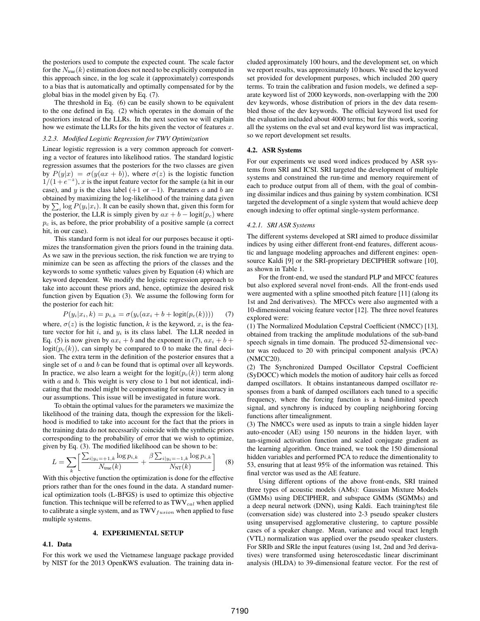the posteriors used to compute the expected count. The scale factor for the  $N_{true}(k)$  estimation does not need to be explicitly computed in this approach since, in the log scale it (approximately) corresponds to a bias that is automatically and optimally compensated for by the global bias in the model given by Eq. (7).

The threshold in Eq. (6) can be easily shown to be equivalent to the one defined in Eq. (2) which operates in the domain of the posteriors instead of the LLRs. In the next section we will explain how we estimate the LLRs for the hits given the vector of features  $x$ .

# *3.2.3. Modified Logistic Regression for TWV Optimization*

Linear logistic regression is a very common approach for converting a vector of features into likelihood ratios. The standard logistic regression assumes that the posteriors for the two classes are given by  $P(y|x) = \sigma(y(ax + b))$ , where  $\sigma(z)$  is the logistic function  $1/(1+e^{-z})$ , x is the input feature vector for the sample (a hit in our case), and y is the class label (+1 or -1). Parameters a and b are obtained by maximizing the log-likelihood of the training data given by  $\sum_i \log P(y_i|x_i)$ . It can be easily shown that, given this form for the posterior, the LLR is simply given by  $ax + b - \text{logit}(p_c)$  where  $p_c$  is, as before, the prior probability of a positive sample (a correct hit, in our case).

This standard form is not ideal for our purposes because it optimizes the transformation given the priors found in the training data. As we saw in the previous section, the risk function we are trying to minimize can be seen as affecting the priors of the classes and the keywords to some synthetic values given by Equation (4) which are keyword dependent. We modify the logistic regression approach to take into account these priors and, hence, optimize the desired risk function given by Equation (3). We assume the following form for the posterior for each hit:

$$
P(y_i|x_i, k) = p_{i,k} = \sigma(y_i(ax_i + b + \text{logit}(p_c(k)))) \tag{7}
$$

where,  $\sigma(z)$  is the logistic function, k is the keyword,  $x_i$  is the feature vector for hit  $i$ , and  $y_i$  is its class label. The LLR needed in Eq. (5) is now given by  $ax_i + b$  and the exponent in (7),  $ax_i + b +$ logit( $p_c(k)$ ), can simply be compared to 0 to make the final decision. The extra term in the definition of the posterior ensures that a single set of  $a$  and  $b$  can be found that is optimal over all keywords. In practice, we also learn a weight for the  $logit(p_c(k))$  term along with  $a$  and  $b$ . This weight is very close to 1 but not identical, indicating that the model might be compensating for some inaccuracy in our assumptions. This issue will be investigated in future work.

To obtain the optimal values for the parameters we maximize the likelihood of the training data, though the expression for the likelihood is modified to take into account for the fact that the priors in the training data do not necessarily coincide with the synthetic priors corresponding to the probability of error that we wish to optimize, given by Eq. (3). The modified likelihood can be shown to be:

$$
L = \sum_{k} \left[ \frac{\sum_{i|y_i=+1,k} \log p_{i,k}}{N_{\text{true}}(k)} + \frac{\beta \sum_{i|y_i=-1,k} \log p_{i,k}}{N_{\text{NT}}(k)} \right] \quad (8)
$$

With this objective function the optimization is done for the effective priors rather than for the ones found in the data. A standard numerical optimization tools (L-BFGS) is used to optimize this objective function. This technique will be referred to as  $TWV_{cal}$  when applied to calibrate a single system, and as  $TWV_{fusion}$  when applied to fuse multiple systems.

#### 4. EXPERIMENTAL SETUP

# 4.1. Data

For this work we used the Vietnamese language package provided by NIST for the 2013 OpenKWS evaluation. The training data included approximately 100 hours, and the development set, on which we report results, was approximately 10 hours. We used the keyword set provided for development purposes, which included 200 query terms. To train the calibration and fusion models, we defined a separate keyword list of 2000 keywords, non-overlapping with the 200 dev keywords, whose distribution of priors in the dev data resembled those of the dev keywords. The official keyword list used for the evaluation included about 4000 terms; but for this work, scoring all the systems on the eval set and eval keyword list was impractical, so we report development set results.

### 4.2. ASR Systems

For our experiments we used word indices produced by ASR systems from SRI and ICSI. SRI targeted the development of multiple systems and constrained the run-time and memory requirement of each to produce output from all of them, with the goal of combining dissimilar indices and thus gaining by system combination. ICSI targeted the development of a single system that would achieve deep enough indexing to offer optimal single-system performance.

#### *4.2.1. SRI ASR Systems*

The different systems developed at SRI aimed to produce dissimilar indices by using either different front-end features, different acoustic and language modeling approaches and different engines: opensource Kaldi [9] or the SRI-proprietary DECIPHER software [10], as shown in Table 1.

For the front-end, we used the standard PLP and MFCC features but also explored several novel front-ends. All the front-ends used were augmented with a spline smoothed pitch feature [11] (along its 1st and 2nd derivatives). The MFCCs were also augmented with a 10-dimensional voicing feature vector [12]. The three novel features explored were:

(1) The Normalized Modulation Cepstral Coefficient (NMCC) [13], obtained from tracking the amplitude modulations of the sub-band speech signals in time domain. The produced 52-dimensional vector was reduced to 20 with principal component analysis (PCA) (NMCC20).

(2) The Synchronized Damped Oscillator Cepstral Coefficient (SyDOCC) which models the motion of auditory hair cells as forced damped oscillators. It obtains instantaneous damped oscillator responses from a bank of damped oscillators each tuned to a specific frequency, where the forcing function is a band-limited speech signal, and synchrony is induced by coupling neighboring forcing functions after timealignment.

(3) The NMCCs were used as inputs to train a single hidden layer auto-encoder (AE) using 150 neurons in the hidden layer, with tan-sigmoid activation function and scaled conjugate gradient as the learning algorithm. Once trained, we took the 150 dimensional hidden variables and performed PCA to reduce the dimentionality to 53, ensuring that at least 95% of the information was retained. This final verctor was used as the AE feature.

Using different options of the above front-ends, SRI trained three types of acoustic models (AMs): Gaussian Mixture Models (GMMs) using DECIPHER, and subspace GMMs (SGMMs) and a deep neural network (DNN), using Kaldi. Each training/test file (conversation side) was clustered into 2-3 pseudo speaker clusters using unsupervised agglomerative clustering, to capture possible cases of a speaker change. Mean, variance and vocal tract length (VTL) normalization was applied over the pseudo speaker clusters. For SRIb and SRIe the input features (using 1st, 2nd and 3rd derivatives) were transformed using heteroscedastic linear discriminant analysis (HLDA) to 39-dimensional feature vector. For the rest of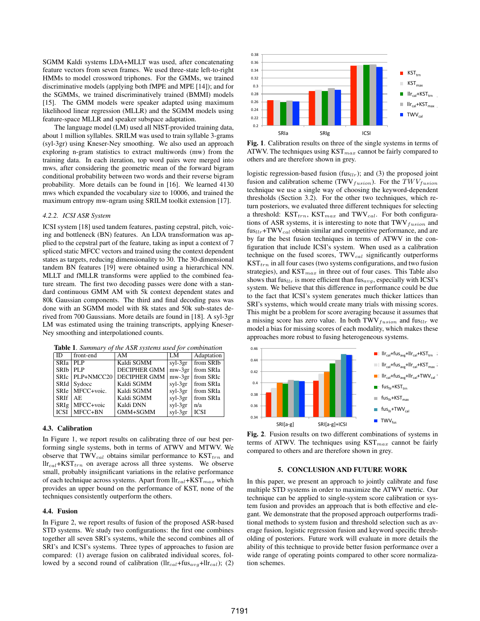SGMM Kaldi systems LDA+MLLT was used, after concatenating feature vectors from seven frames. We used three-state left-to-right HMMs to model crossword triphones. For the GMMs, we trained discriminative models (applying both fMPE and MPE [14]); and for the SGMMs, we trained discriminatively trained (BMMI) models [15]. The GMM models were speaker adapted using maximum likelihood linear regression (MLLR) and the SGMM models using feature-space MLLR and speaker subspace adaptation.

The language model (LM) used all NIST-provided training data, about 1 million syllables. SRILM was used to train syllable 3-grams (syl-3gr) using Kneser-Ney smoothing. We also used an approach exploring n-gram statistics to extract multiwords (mw) from the training data. In each iteration, top word pairs were merged into mws, after considering the geometric mean of the forward bigram conditional probability between two words and their reverse bigram probability. More details can be found in [16]. We learned 4130 mws which expanded the vocabulary size to 10006, and trained the maximum entropy mw-ngram using SRILM toolkit extension [17].

### *4.2.2. ICSI ASR System*

ICSI system [18] used tandem features, pasting cepstral, pitch, voicing and bottleneck (BN) features. An LDA transformation was applied to the cepstral part of the feature, taking as input a context of 7 spliced static MFCC vectors and trained using the context dependent states as targets, reducing dimensionality to 30. The 30-dimensional tandem BN features [19] were obtained using a hierarchical NN. MLLT and fMLLR transforms were applied to the combined feature stream. The first two decoding passes were done with a standard continuous GMM AM with 5k context dependent states and 80k Gaussian components. The third and final decoding pass was done with an SGMM model with 8k states and 50k sub-states derived from 700 Gaussians. More details are found in [18]. A syl-3gr LM was estimated using the training transcripts, applying Kneser-Ney smoothing and interpolationed counts.

| $\Box$      | front-end         | AM                  | LM        | Adaptation            |
|-------------|-------------------|---------------------|-----------|-----------------------|
| SRIa   PLP  |                   | Kaldi SGMM          | syl-3gr   | from SRIb             |
| <b>SRIb</b> | PLP               | <b>DECIPHER GMM</b> |           | $mw-3gr$ from SRIa    |
|             | SRIc   PLP+NMCC20 | <b>DECIPHER GMM</b> |           | $mw-3gr$ from SRIc    |
|             | SRId Sydocc       | Kaldi SGMM          | $svl-3gr$ | from SRIa             |
|             | SRIe   MFCC+voic. | Kaldi SGMM          |           | syl-3gr $ $ from SRIa |
| <b>SRIf</b> | AE                | Kaldi SGMM          | $syl-3gr$ | from SRIa             |
| SRIg        | MFCC+voic         | Kaldi DNN           | $syl-3gr$ | n/a                   |
| <b>ICSI</b> | MFCC+BN           | GMM+SGMM            | $syl-3gr$ | <b>ICSI</b>           |

Table 1. *Summary of the ASR systems used for combination*

# 4.3. Calibration

In Figure 1, we report results on calibrating three of our best performing single systems, both in terms of ATWV and MTWV. We observe that TWV<sub>cal</sub> obtains similar performance to  $KST<sub>trn</sub>$  and  $\prod_{cal}$ +KST<sub>trn</sub> on average across all three systems. We observe small, probably insignificant variations in the relative performance of each technique across systems. Apart from  $\ln c_{cal} + KST_{max}$  which provides an upper bound on the performance of KST, none of the techniques consistently outperform the others.

# 4.4. Fusion

In Figure 2, we report results of fusion of the proposed ASR-based STD systems. We study two configurations: the first one combines together all seven SRI's systems, while the second combines all of SRI's and ICSI's systems. Three types of approaches to fusion are compared: (1) average fusion on calibrated individual scores, followed by a second round of calibration  $(llr_{cal} + fus_{avg} + llr_{cal})$ ; (2)



Fig. 1. Calibration results on three of the single systems in terms of ATWV. The techniques using  $KST_{max}$  cannot be fairly compared to others and are therefore shown in grey.

logistic regression-based fusion (fus<sub>llr</sub>); and (3) the proposed joint fusion and calibration scheme (TWV $_{fusion}$ ). For the  $TWV_{fusion}$ technique we use a single way of choosing the keyword-dependent thresholds (Section 3.2). For the other two techniques, which return posteriors, we evaluated three different techniques for selecting a threshold:  $KST_{trn}$ ,  $KST_{max}$  and TWV<sub>cal</sub>. For both configurations of ASR systems, it is interesting to note that  $TWV_{fusion}$  and  $fus_{llr}+TWV_{cal}$  obtain similar and competitive performance, and are by far the best fusion techniques in terms of ATWV in the configuration that include ICSI's system. When used as a calibration technique on the fused scores,  $TWV_{cal}$  significantly outperforms  $KST<sub>trn</sub>$  in all four cases (two systems configurations, and two fusion strategies), and  $\mathrm{KST}_{max}$  in three out of four cases. This Table also shows that fus<sub>llr</sub> is more efficient than fus<sub>avg</sub>, especially with ICSI's system. We believe that this difference in performance could be due to the fact that ICSI's system generates much thicker lattices than SRI's systems, which would create many trials with missing scores. This might be a problem for score averaging because it assumes that a missing score has zero value. In both TWV  $f_{usion}$  and  $f_{Uslin}$  we model a bias for missing scores of each modality, which makes these approaches more robust to fusing heterogeneous systems.



Fig. 2. Fusion results on two different combinations of systems in terms of ATWV. The techniques using  $KST_{max}$  cannot be fairly compared to others and are therefore shown in grey.

# 5. CONCLUSION AND FUTURE WORK

In this paper, we present an approach to jointly calibrate and fuse multiple STD systems in order to maximize the ATWV metric. Our technique can be applied to single-system score calibration or system fusion and provides an approach that is both effective and elegant. We demonstrate that the proposed approach outperforms traditional methods to system fusion and threshold selection such as average fusion, logistic regression fusion and keyword specific thresholding of posteriors. Future work will evaluate in more details the ability of this technique to provide better fusion performance over a wide range of operating points compared to other score normalization schemes.